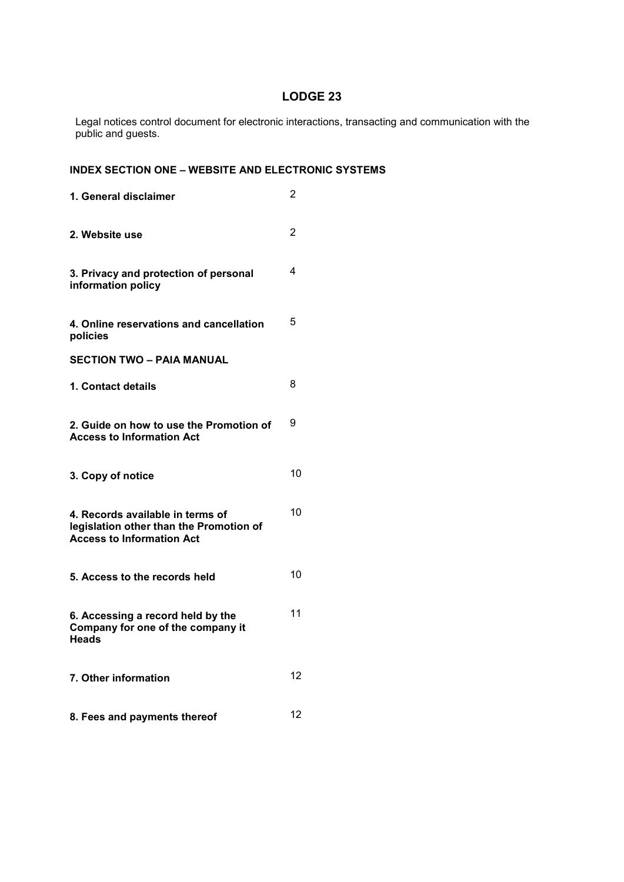# LODGE 23

Legal notices control document for electronic interactions, transacting and communication with the public and guests.

# INDEX SECTION ONE – WEBSITE AND ELECTRONIC SYSTEMS

| 1. General disclaimer                                                                                           | 2  |
|-----------------------------------------------------------------------------------------------------------------|----|
| 2. Website use                                                                                                  | 2  |
| 3. Privacy and protection of personal<br>information policy                                                     | 4  |
| 4. Online reservations and cancellation<br>policies                                                             | 5  |
| <b>SECTION TWO – PAIA MANUAL</b>                                                                                |    |
| 1. Contact details                                                                                              | 8  |
| 2. Guide on how to use the Promotion of<br><b>Access to Information Act</b>                                     | 9  |
| 3. Copy of notice                                                                                               | 10 |
| 4. Records available in terms of<br>legislation other than the Promotion of<br><b>Access to Information Act</b> | 10 |
| 5. Access to the records held                                                                                   | 10 |
| 6. Accessing a record held by the<br>Company for one of the company it<br><b>Heads</b>                          | 11 |
| 7. Other information                                                                                            | 12 |
| 8. Fees and payments thereof                                                                                    | 12 |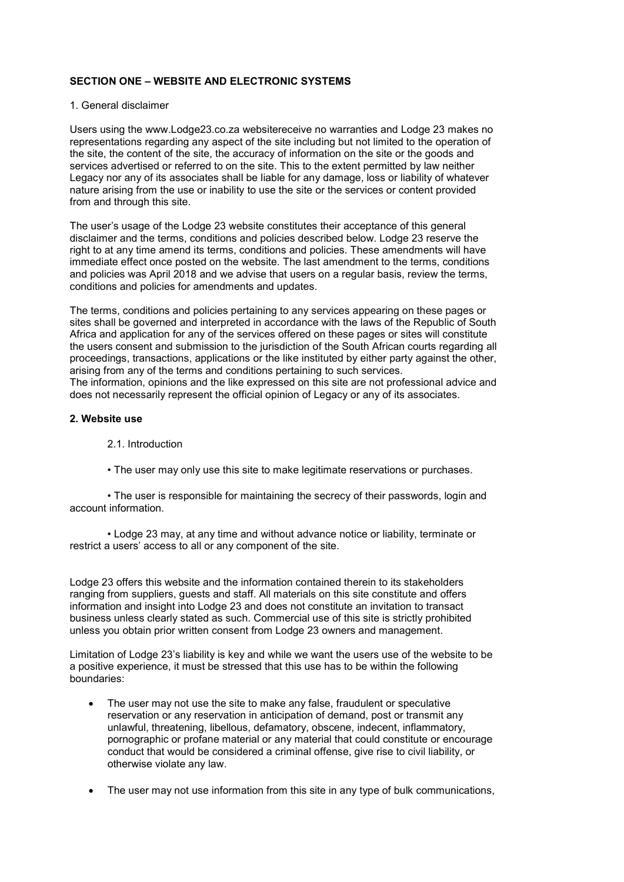## SECTION ONE – WEBSITE AND ELECTRONIC SYSTEMS

### 1. General disclaimer

Users using the www.Lodge23.co.za websitereceive no warranties and Lodge 23 makes no representations regarding any aspect of the site including but not limited to the operation of the site, the content of the site, the accuracy of information on the site or the goods and services advertised or referred to on the site. This to the extent permitted by law neither Legacy nor any of its associates shall be liable for any damage, loss or liability of whatever nature arising from the use or inability to use the site or the services or content provided from and through this site.

The user's usage of the Lodge 23 website constitutes their acceptance of this general disclaimer and the terms, conditions and policies described below. Lodge 23 reserve the right to at any time amend its terms, conditions and policies. These amendments will have immediate effect once posted on the website. The last amendment to the terms, conditions and policies was April 2018 and we advise that users on a regular basis, review the terms, conditions and policies for amendments and updates.

The terms, conditions and policies pertaining to any services appearing on these pages or sites shall be governed and interpreted in accordance with the laws of the Republic of South Africa and application for any of the services offered on these pages or sites will constitute the users consent and submission to the jurisdiction of the South African courts regarding all proceedings, transactions, applications or the like instituted by either party against the other, arising from any of the terms and conditions pertaining to such services. The information, opinions and the like expressed on this site are not professional advice and

does not necessarily represent the official opinion of Legacy or any of its associates.

### 2. Website use

### 2.1. Introduction

• The user may only use this site to make legitimate reservations or purchases.

 • The user is responsible for maintaining the secrecy of their passwords, login and account information.

 • Lodge 23 may, at any time and without advance notice or liability, terminate or restrict a users' access to all or any component of the site.

Lodge 23 offers this website and the information contained therein to its stakeholders ranging from suppliers, guests and staff. All materials on this site constitute and offers information and insight into Lodge 23 and does not constitute an invitation to transact business unless clearly stated as such. Commercial use of this site is strictly prohibited unless you obtain prior written consent from Lodge 23 owners and management.

Limitation of Lodge 23's liability is key and while we want the users use of the website to be a positive experience, it must be stressed that this use has to be within the following boundaries:

- The user may not use the site to make any false, fraudulent or speculative reservation or any reservation in anticipation of demand, post or transmit any unlawful, threatening, libellous, defamatory, obscene, indecent, inflammatory, pornographic or profane material or any material that could constitute or encourage conduct that would be considered a criminal offense, give rise to civil liability, or otherwise violate any law.
- The user may not use information from this site in any type of bulk communications,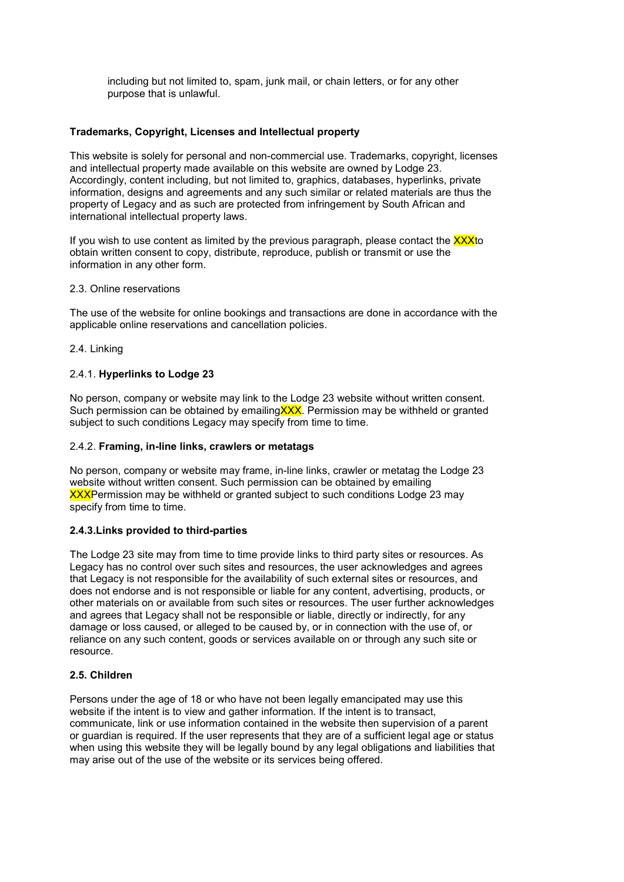including but not limited to, spam, junk mail, or chain letters, or for any other purpose that is unlawful.

## Trademarks, Copyright, Licenses and Intellectual property

This website is solely for personal and non-commercial use. Trademarks, copyright, licenses and intellectual property made available on this website are owned by Lodge 23. Accordingly, content including, but not limited to, graphics, databases, hyperlinks, private information, designs and agreements and any such similar or related materials are thus the property of Legacy and as such are protected from infringement by South African and international intellectual property laws.

If you wish to use content as limited by the previous paragraph, please contact the  $\overline{XXX}$ to obtain written consent to copy, distribute, reproduce, publish or transmit or use the information in any other form.

### 2.3. Online reservations

The use of the website for online bookings and transactions are done in accordance with the applicable online reservations and cancellation policies.

## 2.4. Linking

## 2.4.1. Hyperlinks to Lodge 23

No person, company or website may link to the Lodge 23 website without written consent. Such permission can be obtained by emailing XXX. Permission may be withheld or granted subject to such conditions Legacy may specify from time to time.

## 2.4.2. Framing, in-line links, crawlers or metatags

No person, company or website may frame, in-line links, crawler or metatag the Lodge 23 website without written consent. Such permission can be obtained by emailing XXXPermission may be withheld or granted subject to such conditions Lodge 23 may specify from time to time.

## 2.4.3.Links provided to third-parties

The Lodge 23 site may from time to time provide links to third party sites or resources. As Legacy has no control over such sites and resources, the user acknowledges and agrees that Legacy is not responsible for the availability of such external sites or resources, and does not endorse and is not responsible or liable for any content, advertising, products, or other materials on or available from such sites or resources. The user further acknowledges and agrees that Legacy shall not be responsible or liable, directly or indirectly, for any damage or loss caused, or alleged to be caused by, or in connection with the use of, or reliance on any such content, goods or services available on or through any such site or resource.

## 2.5. Children

Persons under the age of 18 or who have not been legally emancipated may use this website if the intent is to view and gather information. If the intent is to transact, communicate, link or use information contained in the website then supervision of a parent or guardian is required. If the user represents that they are of a sufficient legal age or status when using this website they will be legally bound by any legal obligations and liabilities that may arise out of the use of the website or its services being offered.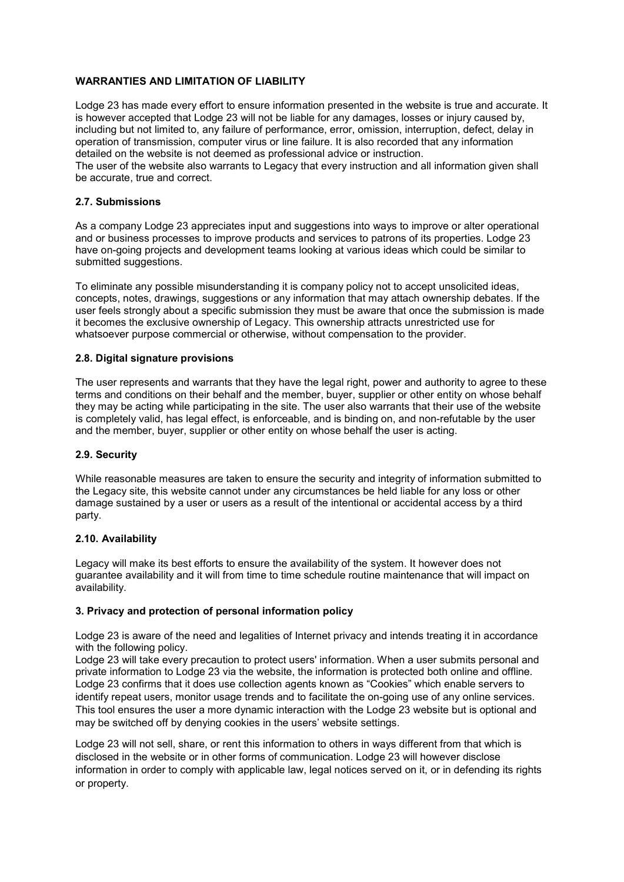## WARRANTIES AND LIMITATION OF LIABILITY

Lodge 23 has made every effort to ensure information presented in the website is true and accurate. It is however accepted that Lodge 23 will not be liable for any damages, losses or injury caused by, including but not limited to, any failure of performance, error, omission, interruption, defect, delay in operation of transmission, computer virus or line failure. It is also recorded that any information detailed on the website is not deemed as professional advice or instruction.

The user of the website also warrants to Legacy that every instruction and all information given shall be accurate, true and correct.

### 2.7. Submissions

As a company Lodge 23 appreciates input and suggestions into ways to improve or alter operational and or business processes to improve products and services to patrons of its properties. Lodge 23 have on-going projects and development teams looking at various ideas which could be similar to submitted suggestions.

To eliminate any possible misunderstanding it is company policy not to accept unsolicited ideas, concepts, notes, drawings, suggestions or any information that may attach ownership debates. If the user feels strongly about a specific submission they must be aware that once the submission is made it becomes the exclusive ownership of Legacy. This ownership attracts unrestricted use for whatsoever purpose commercial or otherwise, without compensation to the provider.

### 2.8. Digital signature provisions

The user represents and warrants that they have the legal right, power and authority to agree to these terms and conditions on their behalf and the member, buyer, supplier or other entity on whose behalf they may be acting while participating in the site. The user also warrants that their use of the website is completely valid, has legal effect, is enforceable, and is binding on, and non-refutable by the user and the member, buyer, supplier or other entity on whose behalf the user is acting.

#### 2.9. Security

While reasonable measures are taken to ensure the security and integrity of information submitted to the Legacy site, this website cannot under any circumstances be held liable for any loss or other damage sustained by a user or users as a result of the intentional or accidental access by a third party.

#### 2.10. Availability

Legacy will make its best efforts to ensure the availability of the system. It however does not guarantee availability and it will from time to time schedule routine maintenance that will impact on availability.

#### 3. Privacy and protection of personal information policy

Lodge 23 is aware of the need and legalities of Internet privacy and intends treating it in accordance with the following policy.

Lodge 23 will take every precaution to protect users' information. When a user submits personal and private information to Lodge 23 via the website, the information is protected both online and offline. Lodge 23 confirms that it does use collection agents known as "Cookies" which enable servers to identify repeat users, monitor usage trends and to facilitate the on-going use of any online services. This tool ensures the user a more dynamic interaction with the Lodge 23 website but is optional and may be switched off by denying cookies in the users' website settings.

Lodge 23 will not sell, share, or rent this information to others in ways different from that which is disclosed in the website or in other forms of communication. Lodge 23 will however disclose information in order to comply with applicable law, legal notices served on it, or in defending its rights or property.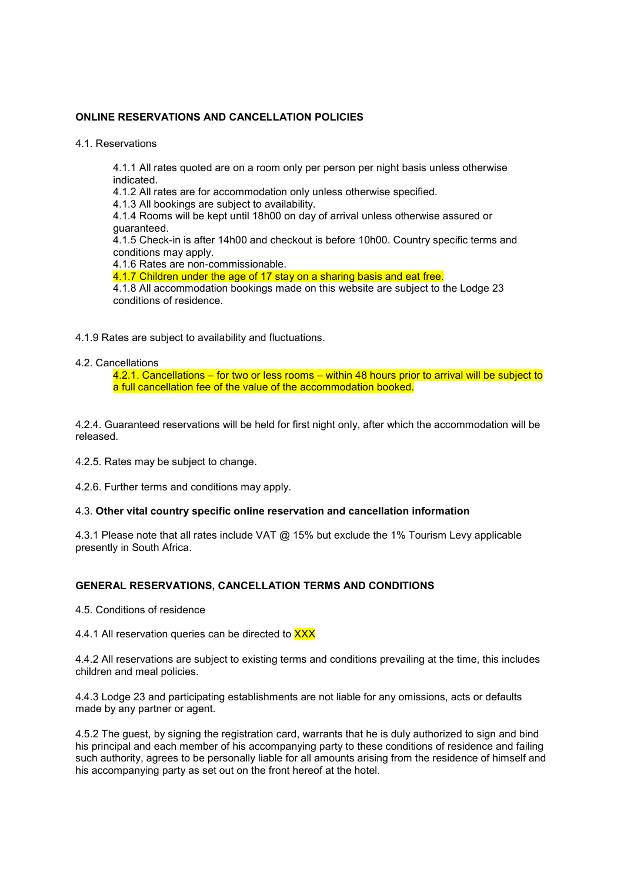## ONLINE RESERVATIONS AND CANCELLATION POLICIES

4.1. Reservations

4.1.1 All rates quoted are on a room only per person per night basis unless otherwise indicated.

4.1.2 All rates are for accommodation only unless otherwise specified.

4.1.3 All bookings are subject to availability.

4.1.4 Rooms will be kept until 18h00 on day of arrival unless otherwise assured or guaranteed.

4.1.5 Check-in is after 14h00 and checkout is before 10h00. Country specific terms and conditions may apply.

4.1.6 Rates are non-commissionable.

4.1.7 Children under the age of 17 stay on a sharing basis and eat free.

4.1.8 All accommodation bookings made on this website are subject to the Lodge 23 conditions of residence.

4.1.9 Rates are subject to availability and fluctuations.

### 4.2. Cancellations

4.2.1. Cancellations – for two or less rooms – within 48 hours prior to arrival will be subject to a full cancellation fee of the value of the accommodation booked.

4.2.4. Guaranteed reservations will be held for first night only, after which the accommodation will be released.

4.2.5. Rates may be subject to change.

4.2.6. Further terms and conditions may apply.

#### 4.3. Other vital country specific online reservation and cancellation information

4.3.1 Please note that all rates include VAT @ 15% but exclude the 1% Tourism Levy applicable presently in South Africa.

#### GENERAL RESERVATIONS, CANCELLATION TERMS AND CONDITIONS

4.5. Conditions of residence

4.4.1 All reservation queries can be directed to XXX

4.4.2 All reservations are subject to existing terms and conditions prevailing at the time, this includes children and meal policies.

4.4.3 Lodge 23 and participating establishments are not liable for any omissions, acts or defaults made by any partner or agent.

4.5.2 The guest, by signing the registration card, warrants that he is duly authorized to sign and bind his principal and each member of his accompanying party to these conditions of residence and failing such authority, agrees to be personally liable for all amounts arising from the residence of himself and his accompanying party as set out on the front hereof at the hotel.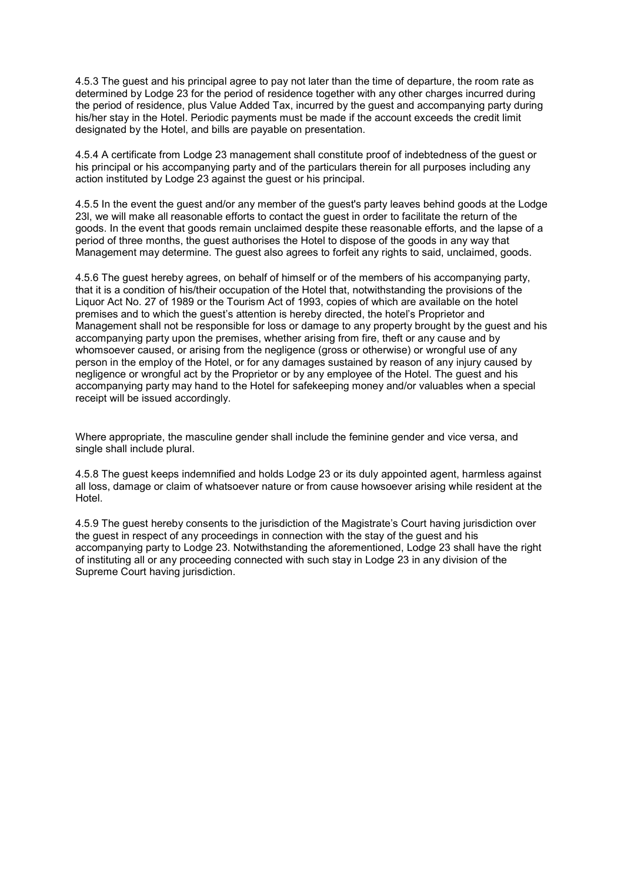4.5.3 The guest and his principal agree to pay not later than the time of departure, the room rate as determined by Lodge 23 for the period of residence together with any other charges incurred during the period of residence, plus Value Added Tax, incurred by the guest and accompanying party during his/her stay in the Hotel. Periodic payments must be made if the account exceeds the credit limit designated by the Hotel, and bills are payable on presentation.

4.5.4 A certificate from Lodge 23 management shall constitute proof of indebtedness of the guest or his principal or his accompanying party and of the particulars therein for all purposes including any action instituted by Lodge 23 against the guest or his principal.

4.5.5 In the event the guest and/or any member of the guest's party leaves behind goods at the Lodge 23l, we will make all reasonable efforts to contact the guest in order to facilitate the return of the goods. In the event that goods remain unclaimed despite these reasonable efforts, and the lapse of a period of three months, the guest authorises the Hotel to dispose of the goods in any way that Management may determine. The guest also agrees to forfeit any rights to said, unclaimed, goods.

4.5.6 The guest hereby agrees, on behalf of himself or of the members of his accompanying party, that it is a condition of his/their occupation of the Hotel that, notwithstanding the provisions of the Liquor Act No. 27 of 1989 or the Tourism Act of 1993, copies of which are available on the hotel premises and to which the guest's attention is hereby directed, the hotel's Proprietor and Management shall not be responsible for loss or damage to any property brought by the guest and his accompanying party upon the premises, whether arising from fire, theft or any cause and by whomsoever caused, or arising from the negligence (gross or otherwise) or wrongful use of any person in the employ of the Hotel, or for any damages sustained by reason of any injury caused by negligence or wrongful act by the Proprietor or by any employee of the Hotel. The guest and his accompanying party may hand to the Hotel for safekeeping money and/or valuables when a special receipt will be issued accordingly.

Where appropriate, the masculine gender shall include the feminine gender and vice versa, and single shall include plural.

4.5.8 The guest keeps indemnified and holds Lodge 23 or its duly appointed agent, harmless against all loss, damage or claim of whatsoever nature or from cause howsoever arising while resident at the Hotel.

4.5.9 The guest hereby consents to the jurisdiction of the Magistrate's Court having jurisdiction over the guest in respect of any proceedings in connection with the stay of the guest and his accompanying party to Lodge 23. Notwithstanding the aforementioned, Lodge 23 shall have the right of instituting all or any proceeding connected with such stay in Lodge 23 in any division of the Supreme Court having jurisdiction.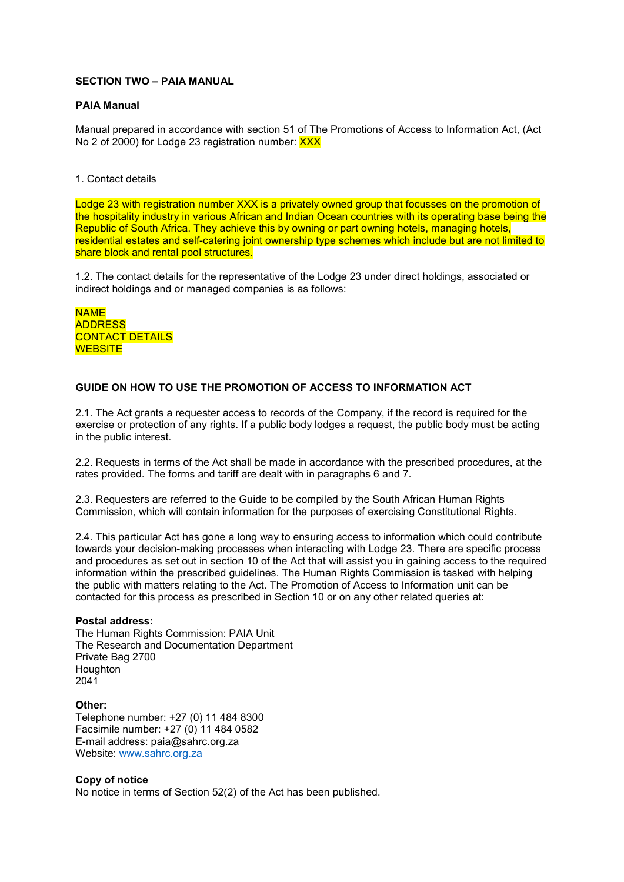## SECTION TWO – PAIA MANUAL

### PAIA Manual

Manual prepared in accordance with section 51 of The Promotions of Access to Information Act, (Act No 2 of 2000) for Lodge 23 registration number: XXX

### 1. Contact details

Lodge 23 with registration number XXX is a privately owned group that focusses on the promotion of the hospitality industry in various African and Indian Ocean countries with its operating base being the Republic of South Africa. They achieve this by owning or part owning hotels, managing hotels, residential estates and self-catering joint ownership type schemes which include but are not limited to share block and rental pool structures.

1.2. The contact details for the representative of the Lodge 23 under direct holdings, associated or indirect holdings and or managed companies is as follows:

NAME ADDRESS CONTACT DETAILS **WEBSITE** 

## GUIDE ON HOW TO USE THE PROMOTION OF ACCESS TO INFORMATION ACT

2.1. The Act grants a requester access to records of the Company, if the record is required for the exercise or protection of any rights. If a public body lodges a request, the public body must be acting in the public interest.

2.2. Requests in terms of the Act shall be made in accordance with the prescribed procedures, at the rates provided. The forms and tariff are dealt with in paragraphs 6 and 7.

2.3. Requesters are referred to the Guide to be compiled by the South African Human Rights Commission, which will contain information for the purposes of exercising Constitutional Rights.

2.4. This particular Act has gone a long way to ensuring access to information which could contribute towards your decision-making processes when interacting with Lodge 23. There are specific process and procedures as set out in section 10 of the Act that will assist you in gaining access to the required information within the prescribed guidelines. The Human Rights Commission is tasked with helping the public with matters relating to the Act. The Promotion of Access to Information unit can be contacted for this process as prescribed in Section 10 or on any other related queries at:

#### Postal address:

The Human Rights Commission: PAIA Unit The Research and Documentation Department Private Bag 2700 **Houghton** 2041

Other: Telephone number: +27 (0) 11 484 8300 Facsimile number: +27 (0) 11 484 0582 E-mail address: paia@sahrc.org.za Website: www.sahrc.org.za

## Copy of notice

No notice in terms of Section 52(2) of the Act has been published.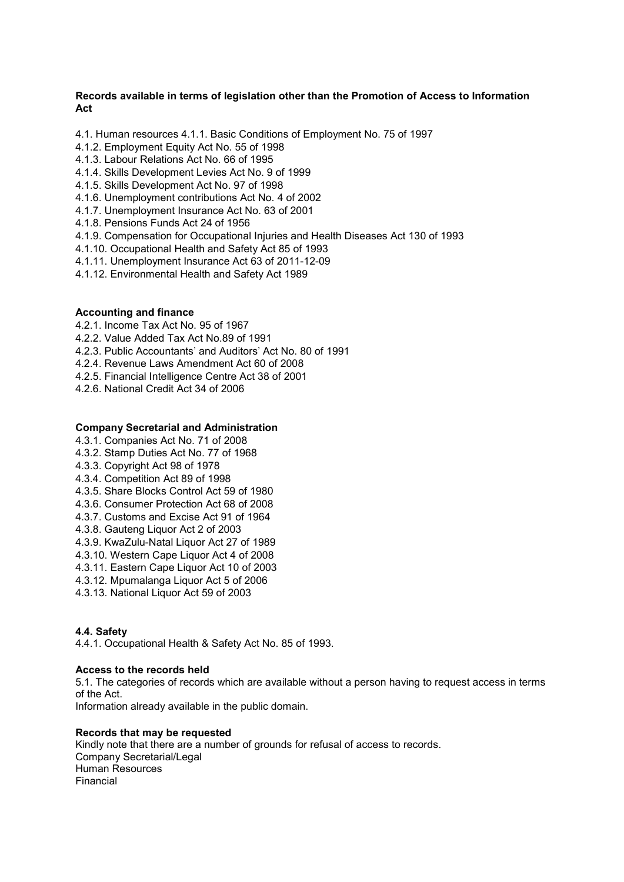## Records available in terms of legislation other than the Promotion of Access to Information Act

- 4.1. Human resources 4.1.1. Basic Conditions of Employment No. 75 of 1997
- 4.1.2. Employment Equity Act No. 55 of 1998
- 4.1.3. Labour Relations Act No. 66 of 1995
- 4.1.4. Skills Development Levies Act No. 9 of 1999
- 4.1.5. Skills Development Act No. 97 of 1998
- 4.1.6. Unemployment contributions Act No. 4 of 2002
- 4.1.7. Unemployment Insurance Act No. 63 of 2001
- 4.1.8. Pensions Funds Act 24 of 1956
- 4.1.9. Compensation for Occupational Injuries and Health Diseases Act 130 of 1993
- 4.1.10. Occupational Health and Safety Act 85 of 1993
- 4.1.11. Unemployment Insurance Act 63 of 2011-12-09
- 4.1.12. Environmental Health and Safety Act 1989

### Accounting and finance

- 4.2.1. Income Tax Act No. 95 of 1967
- 4.2.2. Value Added Tax Act No.89 of 1991
- 4.2.3. Public Accountants' and Auditors' Act No. 80 of 1991
- 4.2.4. Revenue Laws Amendment Act 60 of 2008
- 4.2.5. Financial Intelligence Centre Act 38 of 2001
- 4.2.6. National Credit Act 34 of 2006

### Company Secretarial and Administration

- 4.3.1. Companies Act No. 71 of 2008
- 4.3.2. Stamp Duties Act No. 77 of 1968
- 4.3.3. Copyright Act 98 of 1978
- 4.3.4. Competition Act 89 of 1998
- 4.3.5. Share Blocks Control Act 59 of 1980
- 4.3.6. Consumer Protection Act 68 of 2008
- 4.3.7. Customs and Excise Act 91 of 1964
- 4.3.8. Gauteng Liquor Act 2 of 2003
- 4.3.9. KwaZulu-Natal Liquor Act 27 of 1989
- 4.3.10. Western Cape Liquor Act 4 of 2008
- 4.3.11. Eastern Cape Liquor Act 10 of 2003
- 4.3.12. Mpumalanga Liquor Act 5 of 2006
- 4.3.13. National Liquor Act 59 of 2003

#### 4.4. Safety

4.4.1. Occupational Health & Safety Act No. 85 of 1993.

## Access to the records held

5.1. The categories of records which are available without a person having to request access in terms of the Act.

Information already available in the public domain.

#### Records that may be requested

Kindly note that there are a number of grounds for refusal of access to records. Company Secretarial/Legal Human Resources Financial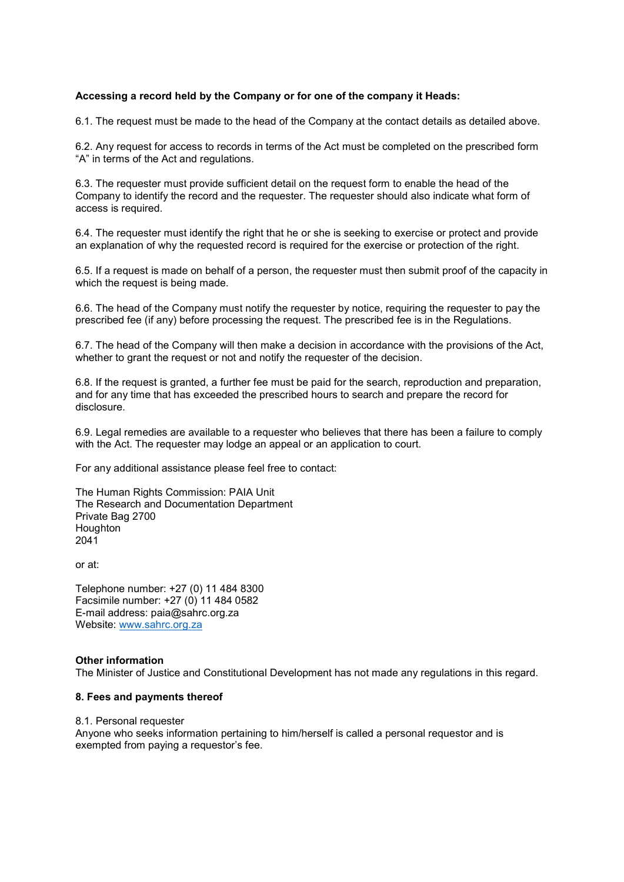## Accessing a record held by the Company or for one of the company it Heads:

6.1. The request must be made to the head of the Company at the contact details as detailed above.

6.2. Any request for access to records in terms of the Act must be completed on the prescribed form "A" in terms of the Act and regulations.

6.3. The requester must provide sufficient detail on the request form to enable the head of the Company to identify the record and the requester. The requester should also indicate what form of access is required.

6.4. The requester must identify the right that he or she is seeking to exercise or protect and provide an explanation of why the requested record is required for the exercise or protection of the right.

6.5. If a request is made on behalf of a person, the requester must then submit proof of the capacity in which the request is being made.

6.6. The head of the Company must notify the requester by notice, requiring the requester to pay the prescribed fee (if any) before processing the request. The prescribed fee is in the Regulations.

6.7. The head of the Company will then make a decision in accordance with the provisions of the Act, whether to grant the request or not and notify the requester of the decision.

6.8. If the request is granted, a further fee must be paid for the search, reproduction and preparation, and for any time that has exceeded the prescribed hours to search and prepare the record for disclosure.

6.9. Legal remedies are available to a requester who believes that there has been a failure to comply with the Act. The requester may lodge an appeal or an application to court.

For any additional assistance please feel free to contact:

The Human Rights Commission: PAIA Unit The Research and Documentation Department Private Bag 2700 **Houghton** 2041

or at:

Telephone number: +27 (0) 11 484 8300 Facsimile number: +27 (0) 11 484 0582 E-mail address: paia@sahrc.org.za Website: www.sahrc.org.za

#### Other information

The Minister of Justice and Constitutional Development has not made any regulations in this regard.

#### 8. Fees and payments thereof

8.1. Personal requester

Anyone who seeks information pertaining to him/herself is called a personal requestor and is exempted from paying a requestor's fee.